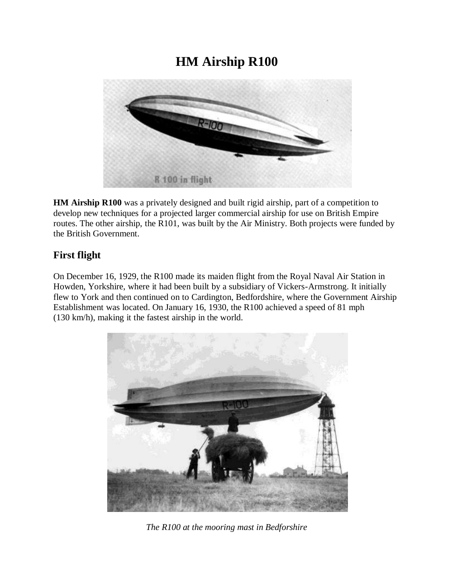## **HM Airship R100**



**HM Airship R100** was a privately designed and built rigid airship, part of a competition to develop new techniques for a projected larger commercial airship for use on British Empire routes. The other airship, the R101, was built by the Air Ministry. Both projects were funded by the British Government.

## **First flight**

On December 16, 1929, the R100 made its maiden flight from the Royal Naval Air Station in Howden, Yorkshire, where it had been built by a subsidiary of Vickers-Armstrong. It initially flew to York and then continued on to Cardington, Bedfordshire, where the Government Airship Establishment was located. On January 16, 1930, the R100 achieved a speed of 81 mph (130 km/h), making it the fastest airship in the world.



*The R100 at the mooring mast in Bedforshire*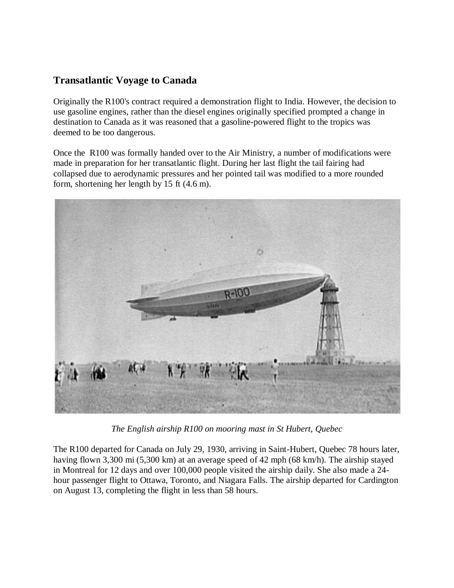## **Transatlantic Voyage to Canada**

Originally the R100's contract required a demonstration flight to India. However, the decision to use gasoline engines, rather than the diesel engines originally specified prompted a change in destination to Canada as it was reasoned that a gasoline-powered flight to the tropics was deemed to be too dangerous.

Once the R100 was formally handed over to the Air Ministry, a number of modifications were made in preparation for her transatlantic flight. During her last flight the tail fairing had collapsed due to aerodynamic pressures and her pointed tail was modified to a more rounded form, shortening her length by 15 ft (4.6 m).



*The English airship R100 on mooring mast in St Hubert, Quebec*

The R100 departed for Canada on July 29, 1930, arriving in Saint-Hubert, Quebec 78 hours later, having flown 3,300 mi (5,300 km) at an average speed of 42 mph (68 km/h). The airship stayed in Montreal for 12 days and over 100,000 people visited the airship daily. She also made a 24 hour passenger flight to Ottawa, Toronto, and Niagara Falls. The airship departed for Cardington on August 13, completing the flight in less than 58 hours.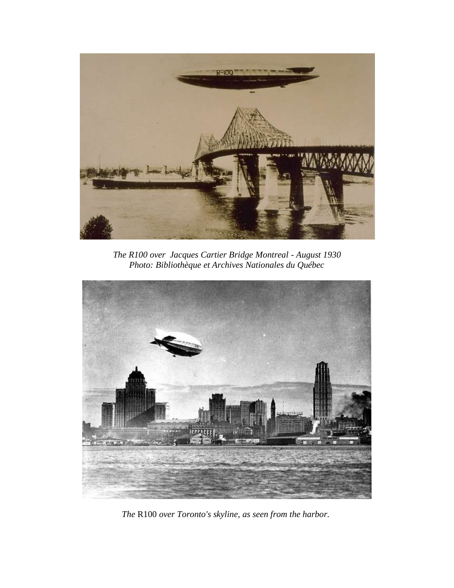

*The R100 over Jacques Cartier Bridge Montreal - August 1930 Photo: Bibliothèque et Archives Nationales du Québec*



*The* R100 *over Toronto's skyline, as seen from the harbor.*